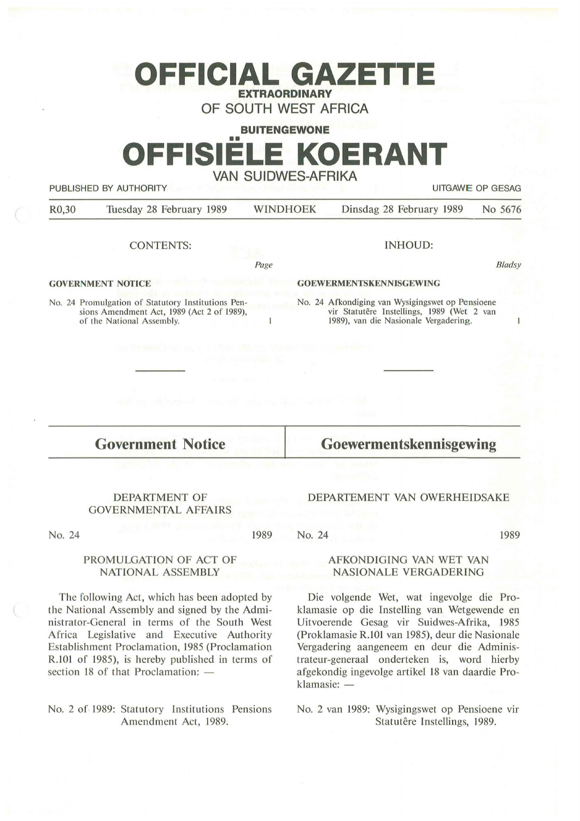## **OFFICIAL GAZETTI EXTRAORDINARY**

**OF SOUTH WEST AFRICA** 

# **BUITENGEWONE**  •• **OFFISIELE KOERANT VAN SUIDWES-AFRIKA**

PUBLISHED BY AUTHORITY **AUTHORITY EXECUTES EXECUTES UITGAWE OP GESAG** 

| R <sub>0</sub> ,30 | Tuesday 28 February 1989 | <b>WINDHOEK</b> | Dinsdag 28 February 1989 No 5676 |  |
|--------------------|--------------------------|-----------------|----------------------------------|--|
|                    |                          |                 |                                  |  |

CONTENTS:

INHOUD:

Page

 $\mathbf{1}$ 

**GOVERNMENT NOTICE** 

No. 24 Promulgation of Statutory Institutions Pensions Amendment Act, 1989 (Act 2 of 1989), of the National Assembly.

*B/adsy* 

 $\mathbf{1}$ 

**GOEWERMENTSKENNISGEWING** 

No. 24 Afkondiging van Wysigingswet op Pensioene vir Statutêre Instellings, 1989 (Wet 2 van 1989), van die Nasionale Vergadering.

**Government Notice** 

**Goewermentskennisgewing** 

DEPARTEMENT VAN OWERHEIDSAKE

#### DEPARTMENT OF GOVERNMENTAL AFFAIRS

No. 24

1989

No. 24

1989

### **AFKONDIGING VAN WET VAN NASIONALE VERGADERING**

Die volgende Wet, wat ingevolge die Proklamasie op die Instelling van Wetgewende en Uitvoerende Gesag vir Suidwes-Afrika, 1985 (Proklamasie R.101 van 1985), deur die Nasionale Vergadering aangeneem en deur die Administrateur-generaal onderteken is, word hierby af gekondig ingevolge artikel 18 van daardie Proklamasie: -

No. 2 van 1989: Wysigingswet op Pensioene vir Statutêre Instellings, 1989.

PROMULGATION OF ACT OF NATIONAL ASSEMBLY

The following Act, which has been adopted by the National Assembly and signed by the Administrator-General in terms of the South West Africa Legislative and Executive Authority Establishment Proclamation, 1985 (Proclamation R.101 of 1985), is hereby published in terms of section 18 of that Proclamation:  $-$ 

No. 2 of 1989: Statutory Institutions Pensions Amendment Act, 1989.